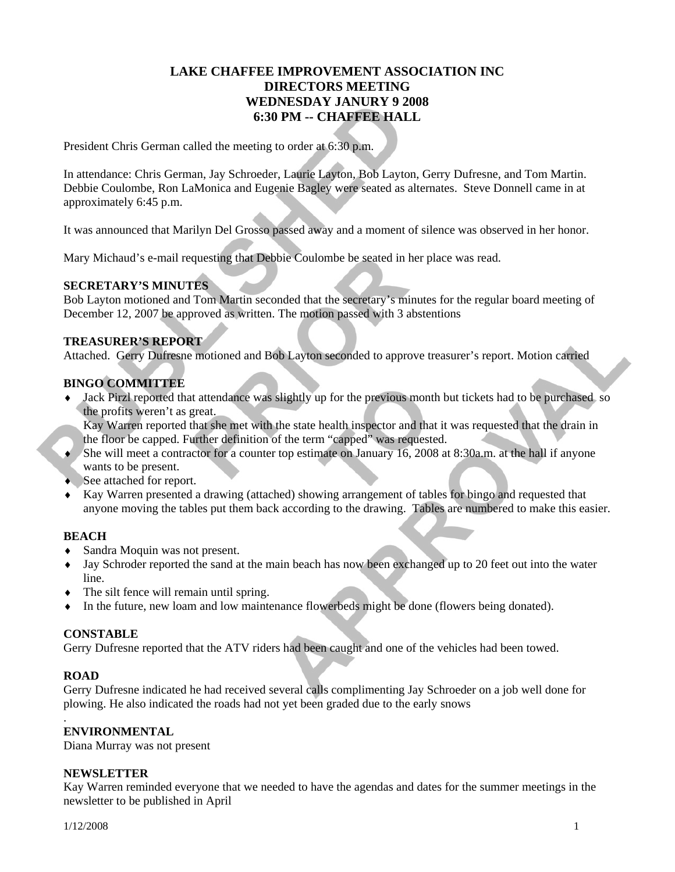### **LAKE CHAFFEE IMPROVEMENT ASSOCIATION INC DIRECTORS MEETING WEDNESDAY JANURY 9 2008 6:30 PM -- CHAFFEE HALL**

President Chris German called the meeting to order at 6:30 p.m.

In attendance: Chris German, Jay Schroeder, Laurie Layton, Bob Layton, Gerry Dufresne, and Tom Martin. Debbie Coulombe, Ron LaMonica and Eugenie Bagley were seated as alternates. Steve Donnell came in at approximately 6:45 p.m.

It was announced that Marilyn Del Grosso passed away and a moment of silence was observed in her honor.

Mary Michaud's e-mail requesting that Debbie Coulombe be seated in her place was read.

#### **SECRETARY'S MINUTES**

Bob Layton motioned and Tom Martin seconded that the secretary's minutes for the regular board meeting of December 12, 2007 be approved as written. The motion passed with 3 abstentions

#### **TREASURER'S REPORT**

Attached. Gerry Dufresne motioned and Bob Layton seconded to approve treasurer's report. Motion carried

#### **BINGO COMMITTEE**

♦ Jack Pirzl reported that attendance was slightly up for the previous month but tickets had to be purchased so the profits weren't as great.

Kay Warren reported that she met with the state health inspector and that it was requested that the drain in the floor be capped. Further definition of the term "capped" was requested.

- ♦ She will meet a contractor for a counter top estimate on January 16, 2008 at 8:30a.m. at the hall if anyone wants to be present.
- ♦ See attached for report.
- ♦ Kay Warren presented a drawing (attached) showing arrangement of tables for bingo and requested that anyone moving the tables put them back according to the drawing. Tables are numbered to make this easier.

#### **BEACH**

- ♦ Sandra Moquin was not present.
- ♦ Jay Schroder reported the sand at the main beach has now been exchanged up to 20 feet out into the water line.
- $\bullet$  The silt fence will remain until spring.
- ♦ In the future, new loam and low maintenance flowerbeds might be done (flowers being donated).

#### **CONSTABLE**

Gerry Dufresne reported that the ATV riders had been caught and one of the vehicles had been towed.

#### **ROAD**

.

Gerry Dufresne indicated he had received several calls complimenting Jay Schroeder on a job well done for plowing. He also indicated the roads had not yet been graded due to the early snows

#### **ENVIRONMENTAL**

Diana Murray was not present

#### **NEWSLETTER**

Kay Warren reminded everyone that we needed to have the agendas and dates for the summer meetings in the newsletter to be published in April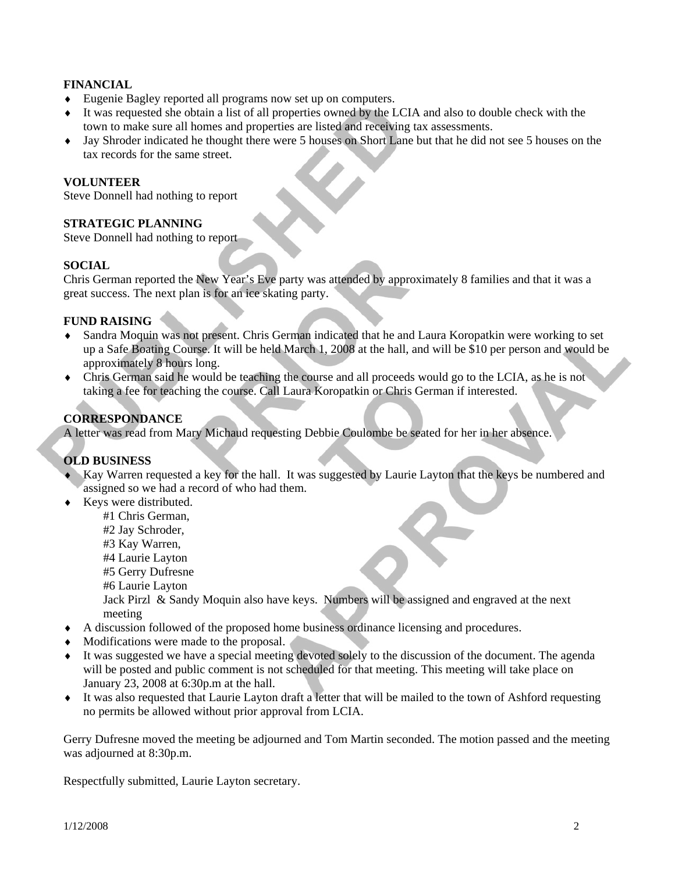#### **FINANCIAL**

- ♦ Eugenie Bagley reported all programs now set up on computers.
- ♦ It was requested she obtain a list of all properties owned by the LCIA and also to double check with the town to make sure all homes and properties are listed and receiving tax assessments.
- ♦ Jay Shroder indicated he thought there were 5 houses on Short Lane but that he did not see 5 houses on the tax records for the same street.

#### **VOLUNTEER**

Steve Donnell had nothing to report

#### **STRATEGIC PLANNING**

Steve Donnell had nothing to report

#### **SOCIAL**

Chris German reported the New Year's Eve party was attended by approximately 8 families and that it was a great success. The next plan is for an ice skating party.

#### **FUND RAISING**

- ♦ Sandra Moquin was not present. Chris German indicated that he and Laura Koropatkin were working to set up a Safe Boating Course. It will be held March 1, 2008 at the hall, and will be \$10 per person and would be approximately 8 hours long.
- ♦ Chris German said he would be teaching the course and all proceeds would go to the LCIA, as he is not taking a fee for teaching the course. Call Laura Koropatkin or Chris German if interested.

#### **CORRESPONDANCE**

A letter was read from Mary Michaud requesting Debbie Coulombe be seated for her in her absence.

#### **OLD BUSINESS**

- ♦ Kay Warren requested a key for the hall. It was suggested by Laurie Layton that the keys be numbered and assigned so we had a record of who had them.
- ♦ Keys were distributed.
	- #1 Chris German,
	- #2 Jay Schroder,
	- #3 Kay Warren,
	- #4 Laurie Layton
	- #5 Gerry Dufresne
	- #6 Laurie Layton
	- Jack Pirzl & Sandy Moquin also have keys. Numbers will be assigned and engraved at the next meeting
- ♦ A discussion followed of the proposed home business ordinance licensing and procedures.
- ♦ Modifications were made to the proposal.
- ♦ It was suggested we have a special meeting devoted solely to the discussion of the document. The agenda will be posted and public comment is not scheduled for that meeting. This meeting will take place on January 23, 2008 at 6:30p.m at the hall.
- ♦ It was also requested that Laurie Layton draft a letter that will be mailed to the town of Ashford requesting no permits be allowed without prior approval from LCIA.

Gerry Dufresne moved the meeting be adjourned and Tom Martin seconded. The motion passed and the meeting was adjourned at 8:30p.m.

Respectfully submitted, Laurie Layton secretary.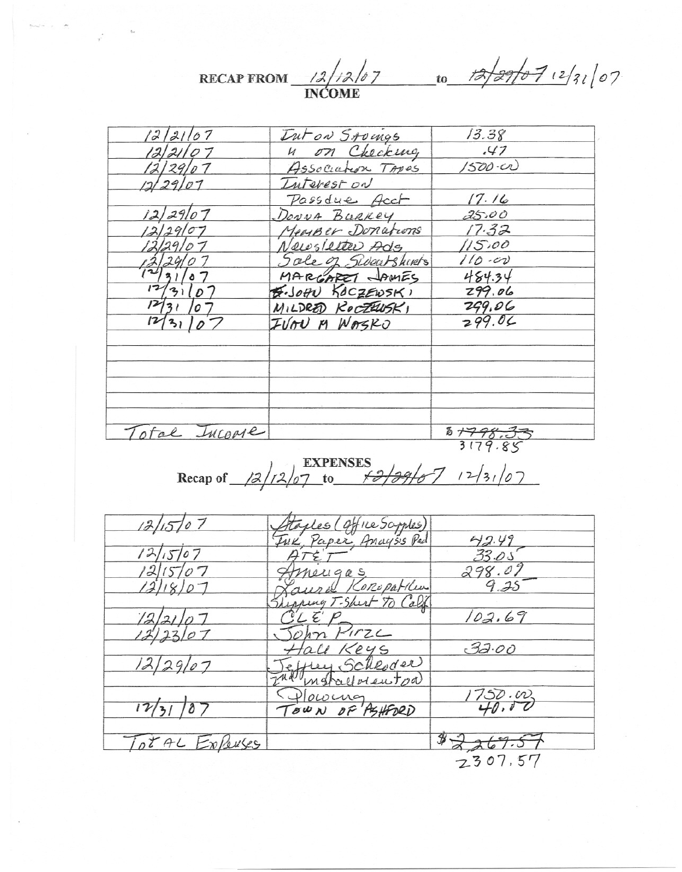RECAP FROM 12/12/07 to 12/27/07/2/31/07

| 12/21/07     | Inton Stoings       | 13.38      |
|--------------|---------------------|------------|
| 122107       | n on Checking       | .47        |
| 12/29/07     | Association TAPES   | 1500.00    |
| 12/29/07     | Interest on         |            |
|              | Passdue Acct        | 17.16      |
| 12/29107     | DONNA BURKEY        | 25.00      |
| 12/29/07     | Meanser Donations   | 17.32      |
| 12129107     | Newsletter Ade      | 115.00     |
|              | Sale of Sweatshirts | $110 - 00$ |
| 2/31/07      | MARGARET JAMES      | 484.34     |
| 31107        | B. JOHN KOCZEWSKI   | 299.06     |
| 12/31/07     | MILDRED ROCZEUSKI   | 299.06     |
| 13110        | IVOU M WASKO        | 299.06     |
|              |                     |            |
|              |                     |            |
|              |                     |            |
| otal Incorre |                     | 8+798.33   |
|              |                     | 3179.85    |

# Recap of  $\frac{12}{1207}$  to  $\frac{12}{9967}$   $12/3$

| 12/15/07       |                                                      |             |
|----------------|------------------------------------------------------|-------------|
|                | Ataples (Office Scryptes)<br>Ink, Paper, Anaysis Pad | 42.49       |
| 07             |                                                      | 33.05       |
|                | neugas                                               | 298.07      |
| 0 <sub>7</sub> | ural Koropatibus                                     | $9.25 -$    |
|                | pping T-Shert To Calif                               |             |
|                |                                                      | 102.69      |
|                | HirzL                                                |             |
|                | Hall Keys                                            | 32.00       |
| 12/29/07       | effrey Schloder                                      |             |
|                | The matallolentoa                                    |             |
|                | Towng                                                | 1750.00     |
| 12/31/87       | TOWN OF PSHEDRD                                      |             |
|                |                                                      |             |
| TotAL ExPouses |                                                      | $rac{1}{2}$ |
|                |                                                      | 2307.57     |
|                |                                                      |             |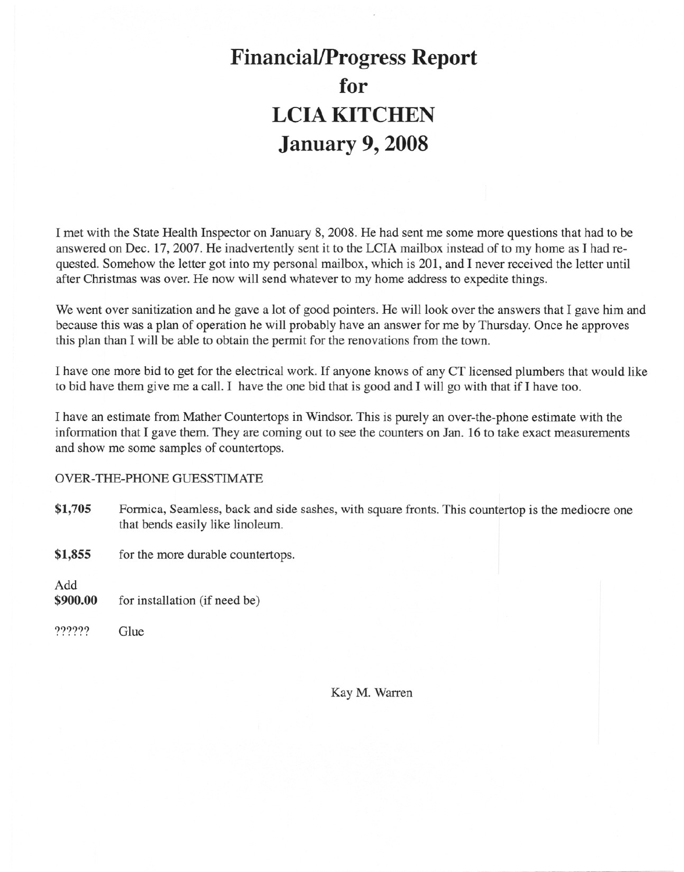## **Financial/Progress Report** for **LCIA KITCHEN January 9, 2008**

I met with the State Health Inspector on January 8, 2008. He had sent me some more questions that had to be answered on Dec. 17, 2007. He inadvertently sent it to the LCIA mailbox instead of to my home as I had requested. Somehow the letter got into my personal mailbox, which is 201, and I never received the letter until after Christmas was over. He now will send whatever to my home address to expedite things.

We went over sanitization and he gave a lot of good pointers. He will look over the answers that I gave him and because this was a plan of operation he will probably have an answer for me by Thursday. Once he approves this plan than I will be able to obtain the permit for the renovations from the town.

I have one more bid to get for the electrical work. If anyone knows of any CT licensed plumbers that would like to bid have them give me a call. I have the one bid that is good and I will go with that if I have too.

I have an estimate from Mather Countertops in Windsor. This is purely an over-the-phone estimate with the information that I gave them. They are coming out to see the counters on Jan. 16 to take exact measurements and show me some samples of countertops.

#### **OVER-THE-PHONE GUESSTIMATE**

- \$1,705 Formica, Seamless, back and side sashes, with square fronts. This countertop is the mediocre one that bends easily like linoleum.
- \$1,855 for the more durable countertops.

Add

- \$900.00 for installation (if need be)
- ?????? Glue

Kay M. Warren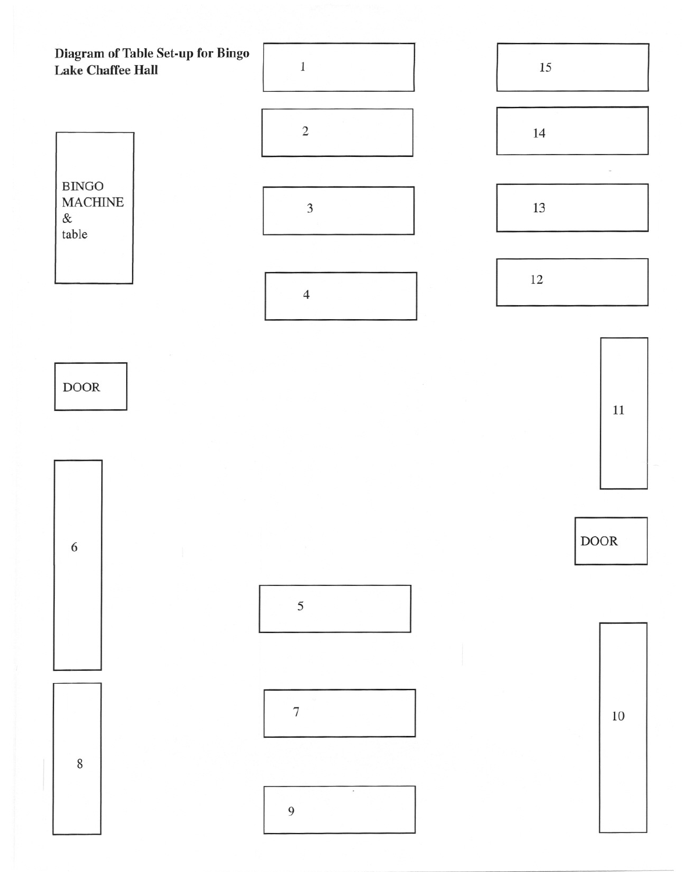